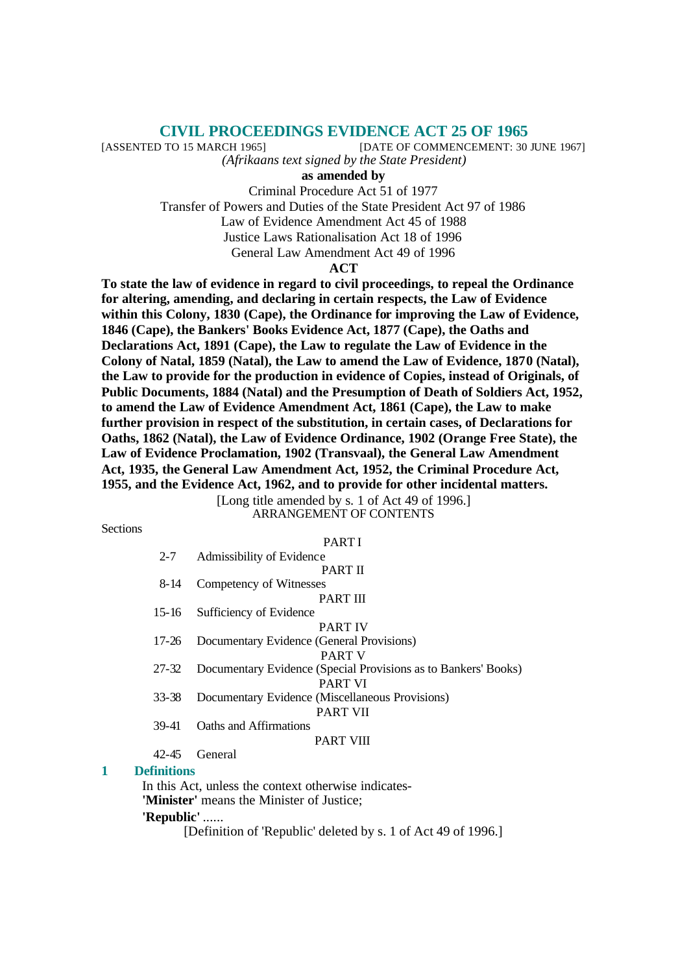# **CIVIL PROCEEDINGS EVIDENCE ACT 25 OF 1965**

[ASSENTED TO 15 MARCH 1965] [DATE OF COMMENCEMENT: 30 JUNE 1967]

*(Afrikaans text signed by the State President)*

**as amended by**

Criminal Procedure Act 51 of 1977 Transfer of Powers and Duties of the State President Act 97 of 1986

Law of Evidence Amendment Act 45 of 1988

Justice Laws Rationalisation Act 18 of 1996

General Law Amendment Act 49 of 1996

#### **ACT**

**To state the law of evidence in regard to civil proceedings, to repeal the Ordinance for altering, amending, and declaring in certain respects, the Law of Evidence within this Colony, 1830 (Cape), the Ordinance for improving the Law of Evidence, 1846 (Cape), the Bankers' Books Evidence Act, 1877 (Cape), the Oaths and Declarations Act, 1891 (Cape), the Law to regulate the Law of Evidence in the Colony of Natal, 1859 (Natal), the Law to amend the Law of Evidence, 1870 (Natal), the Law to provide for the production in evidence of Copies, instead of Originals, of Public Documents, 1884 (Natal) and the Presumption of Death of Soldiers Act, 1952, to amend the Law of Evidence Amendment Act, 1861 (Cape), the Law to make further provision in respect of the substitution, in certain cases, of Declarations for Oaths, 1862 (Natal), the Law of Evidence Ordinance, 1902 (Orange Free State), the Law of Evidence Proclamation, 1902 (Transvaal), the General Law Amendment Act, 1935, the General Law Amendment Act, 1952, the Criminal Procedure Act, 1955, and the Evidence Act, 1962, and to provide for other incidental matters.**

> [Long title amended by s. 1 of Act 49 of 1996.] ARRANGEMENT OF CONTENTS

**Sections** 

#### PART I

| $2 - 7$ | Admissibility of Evidence |
|---------|---------------------------|
|---------|---------------------------|

PART II

8-14 Competency of Witnesses PART III

15-16 Sufficiency of Evidence

PART IV

17-26 Documentary Evidence (General Provisions)

PART V

- 27-32 Documentary Evidence (Special Provisions as to Bankers' Books) PART VI
- 33-38 Documentary Evidence (Miscellaneous Provisions)

PART VII 39-41 Oaths and Affirmations

#### PART VIII

42-45 General

#### **1 Definitions**

In this Act, unless the context otherwise indicates- **'Minister'** means the Minister of Justice;

#### **'Republic'** ......

[Definition of 'Republic' deleted by s. 1 of Act 49 of 1996.]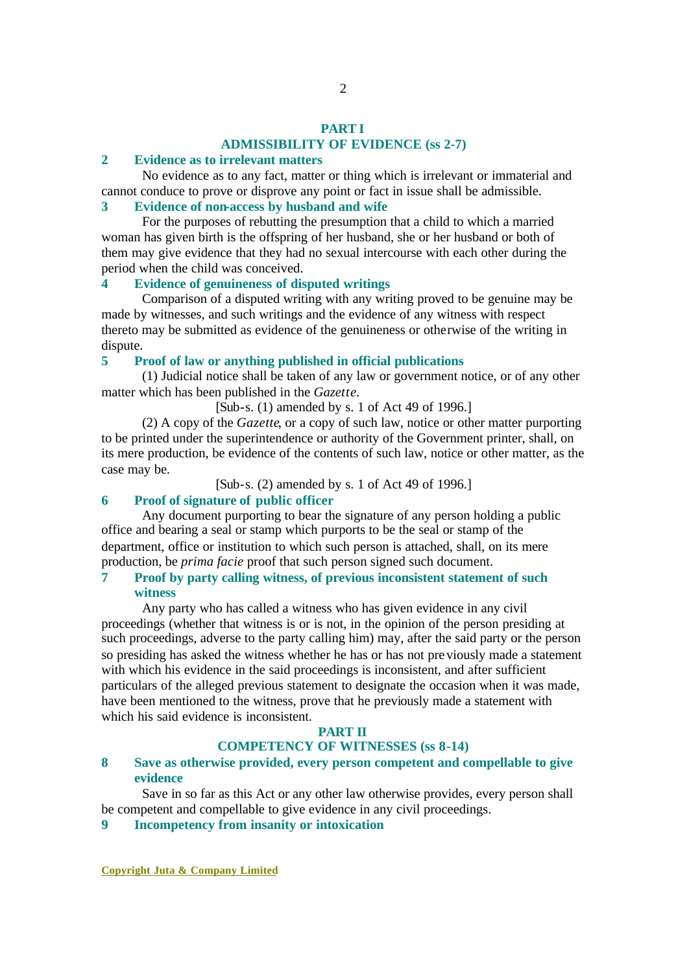# **PART I ADMISSIBILITY OF EVIDENCE (ss 2-7)**

# **2 Evidence as to irrelevant matters**

No evidence as to any fact, matter or thing which is irrelevant or immaterial and cannot conduce to prove or disprove any point or fact in issue shall be admissible.

# **3 Evidence of non-access by husband and wife**

For the purposes of rebutting the presumption that a child to which a married woman has given birth is the offspring of her husband, she or her husband or both of them may give evidence that they had no sexual intercourse with each other during the period when the child was conceived.

# **4 Evidence of genuineness of disputed writings**

Comparison of a disputed writing with any writing proved to be genuine may be made by witnesses, and such writings and the evidence of any witness with respect thereto may be submitted as evidence of the genuineness or otherwise of the writing in dispute.

### **5 Proof of law or anything published in official publications**

(1) Judicial notice shall be taken of any law or government notice, or of any other matter which has been published in the *Gazette*.

[Sub-s. (1) amended by s. 1 of Act 49 of 1996.]

(2) A copy of the *Gazette*, or a copy of such law, notice or other matter purporting to be printed under the superintendence or authority of the Government printer, shall, on its mere production, be evidence of the contents of such law, notice or other matter, as the case may be.

[Sub-s. (2) amended by s. 1 of Act 49 of 1996.]

# **6 Proof of signature of public officer**

Any document purporting to bear the signature of any person holding a public office and bearing a seal or stamp which purports to be the seal or stamp of the department, office or institution to which such person is attached, shall, on its mere production, be *prima facie* proof that such person signed such document.

#### **7 Proof by party calling witness, of previous inconsistent statement of such witness**

Any party who has called a witness who has given evidence in any civil proceedings (whether that witness is or is not, in the opinion of the person presiding at such proceedings, adverse to the party calling him) may, after the said party or the person so presiding has asked the witness whether he has or has not previously made a statement with which his evidence in the said proceedings is inconsistent, and after sufficient particulars of the alleged previous statement to designate the occasion when it was made, have been mentioned to the witness, prove that he previously made a statement with which his said evidence is inconsistent.

# **PART II**

# **COMPETENCY OF WITNESSES (ss 8-14)**

#### **8 Save as otherwise provided, every person competent and compellable to give evidence**

Save in so far as this Act or any other law otherwise provides, every person shall be competent and compellable to give evidence in any civil proceedings.

**9 Incompetency from insanity or intoxication**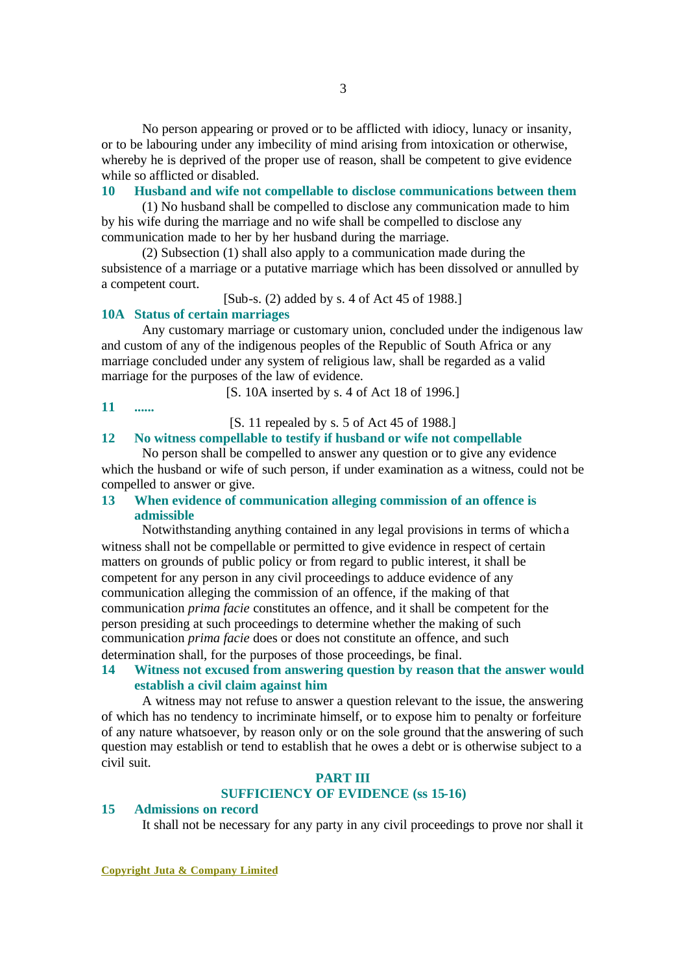No person appearing or proved or to be afflicted with idiocy, lunacy or insanity, or to be labouring under any imbecility of mind arising from intoxication or otherwise, whereby he is deprived of the proper use of reason, shall be competent to give evidence while so afflicted or disabled.

#### **10 Husband and wife not compellable to disclose communications between them**

(1) No husband shall be compelled to disclose any communication made to him by his wife during the marriage and no wife shall be compelled to disclose any communication made to her by her husband during the marriage.

(2) Subsection (1) shall also apply to a communication made during the subsistence of a marriage or a putative marriage which has been dissolved or annulled by a competent court.

[Sub-s. (2) added by s. 4 of Act 45 of 1988.]

# **10A Status of certain marriages**

Any customary marriage or customary union, concluded under the indigenous law and custom of any of the indigenous peoples of the Republic of South Africa or any marriage concluded under any system of religious law, shall be regarded as a valid marriage for the purposes of the law of evidence.

[S. 10A inserted by s. 4 of Act 18 of 1996.]

### **11 ......**

[S. 11 repealed by s. 5 of Act 45 of 1988.]

## **12 No witness compellable to testify if husband or wife not compellable**

No person shall be compelled to answer any question or to give any evidence which the husband or wife of such person, if under examination as a witness, could not be compelled to answer or give.

#### **13 When evidence of communication alleging commission of an offence is admissible**

Notwithstanding anything contained in any legal provisions in terms of which a witness shall not be compellable or permitted to give evidence in respect of certain matters on grounds of public policy or from regard to public interest, it shall be competent for any person in any civil proceedings to adduce evidence of any communication alleging the commission of an offence, if the making of that communication *prima facie* constitutes an offence, and it shall be competent for the person presiding at such proceedings to determine whether the making of such communication *prima facie* does or does not constitute an offence, and such determination shall, for the purposes of those proceedings, be final.

# **14 Witness not excused from answering question by reason that the answer would establish a civil claim against him**

A witness may not refuse to answer a question relevant to the issue, the answering of which has no tendency to incriminate himself, or to expose him to penalty or forfeiture of any nature whatsoever, by reason only or on the sole ground that the answering of such question may establish or tend to establish that he owes a debt or is otherwise subject to a civil suit.

### **PART III SUFFICIENCY OF EVIDENCE (ss 15-16)**

#### **15 Admissions on record**

It shall not be necessary for any party in any civil proceedings to prove nor shall it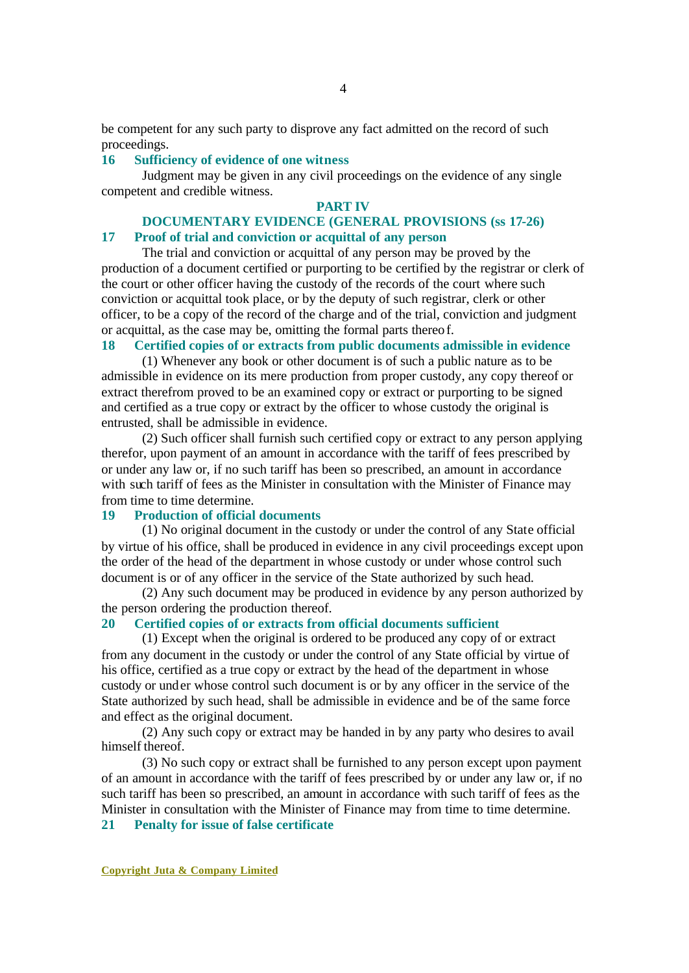be competent for any such party to disprove any fact admitted on the record of such proceedings.

### **16 Sufficiency of evidence of one witness**

Judgment may be given in any civil proceedings on the evidence of any single competent and credible witness.

#### **PART IV**

# **DOCUMENTARY EVIDENCE (GENERAL PROVISIONS (ss 17-26)**

# **17 Proof of trial and conviction or acquittal of any person**

The trial and conviction or acquittal of any person may be proved by the production of a document certified or purporting to be certified by the registrar or clerk of the court or other officer having the custody of the records of the court where such conviction or acquittal took place, or by the deputy of such registrar, clerk or other officer, to be a copy of the record of the charge and of the trial, conviction and judgment or acquittal, as the case may be, omitting the formal parts thereof.

#### **18 Certified copies of or extracts from public documents admissible in evidence**

(1) Whenever any book or other document is of such a public nature as to be admissible in evidence on its mere production from proper custody, any copy thereof or extract therefrom proved to be an examined copy or extract or purporting to be signed and certified as a true copy or extract by the officer to whose custody the original is entrusted, shall be admissible in evidence.

(2) Such officer shall furnish such certified copy or extract to any person applying therefor, upon payment of an amount in accordance with the tariff of fees prescribed by or under any law or, if no such tariff has been so prescribed, an amount in accordance with such tariff of fees as the Minister in consultation with the Minister of Finance may from time to time determine.

#### **19 Production of official documents**

(1) No original document in the custody or under the control of any State official by virtue of his office, shall be produced in evidence in any civil proceedings except upon the order of the head of the department in whose custody or under whose control such document is or of any officer in the service of the State authorized by such head.

(2) Any such document may be produced in evidence by any person authorized by the person ordering the production thereof.

#### **20 Certified copies of or extracts from official documents sufficient**

(1) Except when the original is ordered to be produced any copy of or extract from any document in the custody or under the control of any State official by virtue of his office, certified as a true copy or extract by the head of the department in whose custody or under whose control such document is or by any officer in the service of the State authorized by such head, shall be admissible in evidence and be of the same force and effect as the original document.

(2) Any such copy or extract may be handed in by any party who desires to avail himself thereof.

(3) No such copy or extract shall be furnished to any person except upon payment of an amount in accordance with the tariff of fees prescribed by or under any law or, if no such tariff has been so prescribed, an amount in accordance with such tariff of fees as the Minister in consultation with the Minister of Finance may from time to time determine.

**21 Penalty for issue of false certificate**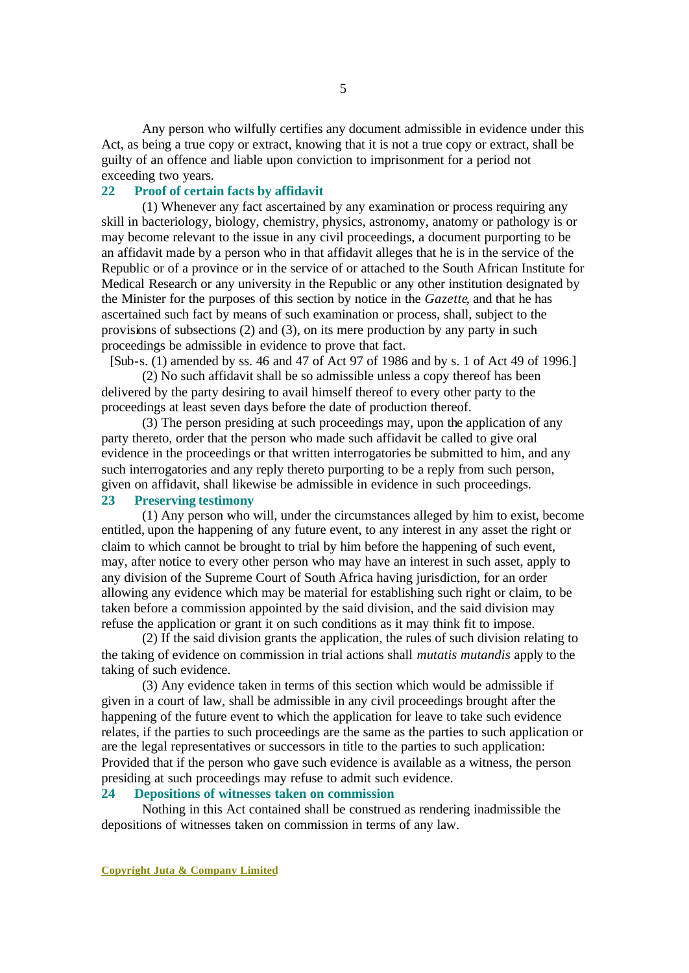Any person who wilfully certifies any document admissible in evidence under this Act, as being a true copy or extract, knowing that it is not a true copy or extract, shall be guilty of an offence and liable upon conviction to imprisonment for a period not exceeding two years.

#### **22 Proof of certain facts by affidavit**

(1) Whenever any fact ascertained by any examination or process requiring any skill in bacteriology, biology, chemistry, physics, astronomy, anatomy or pathology is or may become relevant to the issue in any civil proceedings, a document purporting to be an affidavit made by a person who in that affidavit alleges that he is in the service of the Republic or of a province or in the service of or attached to the South African Institute for Medical Research or any university in the Republic or any other institution designated by the Minister for the purposes of this section by notice in the *Gazette*, and that he has ascertained such fact by means of such examination or process, shall, subject to the provisions of subsections (2) and (3), on its mere production by any party in such proceedings be admissible in evidence to prove that fact.

[Sub-s. (1) amended by ss. 46 and 47 of Act 97 of 1986 and by s. 1 of Act 49 of 1996.] (2) No such affidavit shall be so admissible unless a copy thereof has been

delivered by the party desiring to avail himself thereof to every other party to the proceedings at least seven days before the date of production thereof.

(3) The person presiding at such proceedings may, upon the application of any party thereto, order that the person who made such affidavit be called to give oral evidence in the proceedings or that written interrogatories be submitted to him, and any such interrogatories and any reply thereto purporting to be a reply from such person, given on affidavit, shall likewise be admissible in evidence in such proceedings.

# **23 Preserving testimony**

(1) Any person who will, under the circumstances alleged by him to exist, become entitled, upon the happening of any future event, to any interest in any asset the right or claim to which cannot be brought to trial by him before the happening of such event, may, after notice to every other person who may have an interest in such asset, apply to any division of the Supreme Court of South Africa having jurisdiction, for an order allowing any evidence which may be material for establishing such right or claim, to be taken before a commission appointed by the said division, and the said division may refuse the application or grant it on such conditions as it may think fit to impose.

(2) If the said division grants the application, the rules of such division relating to the taking of evidence on commission in trial actions shall *mutatis mutandis* apply to the taking of such evidence.

(3) Any evidence taken in terms of this section which would be admissible if given in a court of law, shall be admissible in any civil proceedings brought after the happening of the future event to which the application for leave to take such evidence relates, if the parties to such proceedings are the same as the parties to such application or are the legal representatives or successors in title to the parties to such application: Provided that if the person who gave such evidence is available as a witness, the person presiding at such proceedings may refuse to admit such evidence.

# **24 Depositions of witnesses taken on commission**

Nothing in this Act contained shall be construed as rendering inadmissible the depositions of witnesses taken on commission in terms of any law.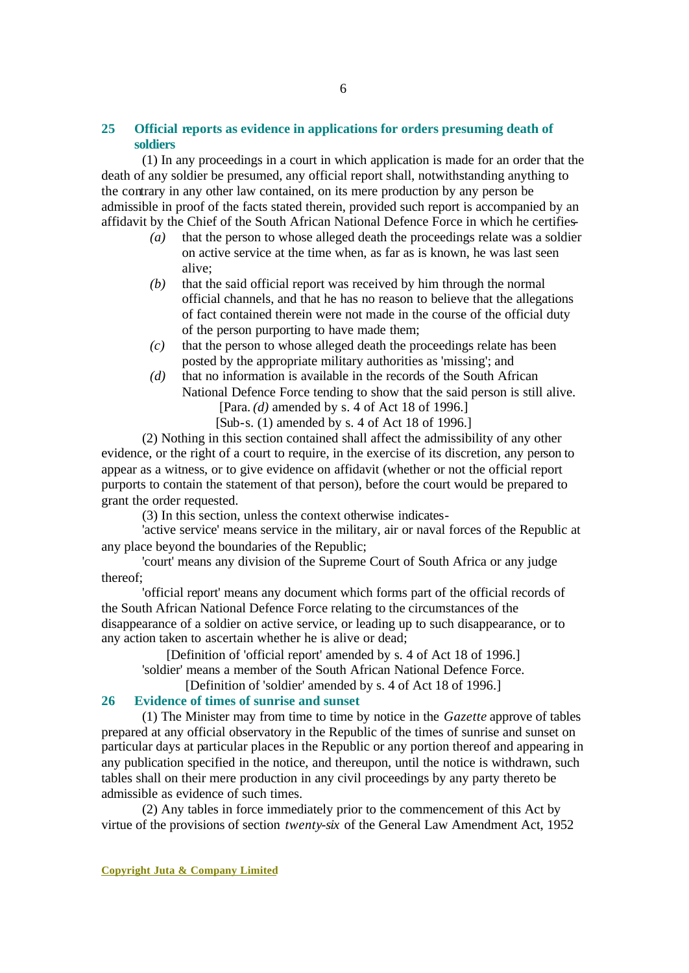### **25 Official reports as evidence in applications for orders presuming death of soldiers**

(1) In any proceedings in a court in which application is made for an order that the death of any soldier be presumed, any official report shall, notwithstanding anything to the contrary in any other law contained, on its mere production by any person be admissible in proof of the facts stated therein, provided such report is accompanied by an affidavit by the Chief of the South African National Defence Force in which he certifies-

- *(a)* that the person to whose alleged death the proceedings relate was a soldier on active service at the time when, as far as is known, he was last seen alive;
- *(b)* that the said official report was received by him through the normal official channels, and that he has no reason to believe that the allegations of fact contained therein were not made in the course of the official duty of the person purporting to have made them;
- *(c)* that the person to whose alleged death the proceedings relate has been posted by the appropriate military authorities as 'missing'; and
- *(d)* that no information is available in the records of the South African National Defence Force tending to show that the said person is still alive. [Para. *(d)* amended by s. 4 of Act 18 of 1996.]

[Sub-s. (1) amended by s. 4 of Act 18 of 1996.]

(2) Nothing in this section contained shall affect the admissibility of any other evidence, or the right of a court to require, in the exercise of its discretion, any person to appear as a witness, or to give evidence on affidavit (whether or not the official report purports to contain the statement of that person), before the court would be prepared to grant the order requested.

(3) In this section, unless the context otherwise indicates-

'active service' means service in the military, air or naval forces of the Republic at any place beyond the boundaries of the Republic;

'court' means any division of the Supreme Court of South Africa or any judge thereof;

'official report' means any document which forms part of the official records of the South African National Defence Force relating to the circumstances of the disappearance of a soldier on active service, or leading up to such disappearance, or to any action taken to ascertain whether he is alive or dead;

[Definition of 'official report' amended by s. 4 of Act 18 of 1996.]

'soldier' means a member of the South African National Defence Force.

[Definition of 'soldier' amended by s. 4 of Act 18 of 1996.]

### **26 Evidence of times of sunrise and sunset**

(1) The Minister may from time to time by notice in the *Gazette* approve of tables prepared at any official observatory in the Republic of the times of sunrise and sunset on particular days at particular places in the Republic or any portion thereof and appearing in any publication specified in the notice, and thereupon, until the notice is withdrawn, such tables shall on their mere production in any civil proceedings by any party thereto be admissible as evidence of such times.

(2) Any tables in force immediately prior to the commencement of this Act by virtue of the provisions of section *twenty-six* of the General Law Amendment Act, 1952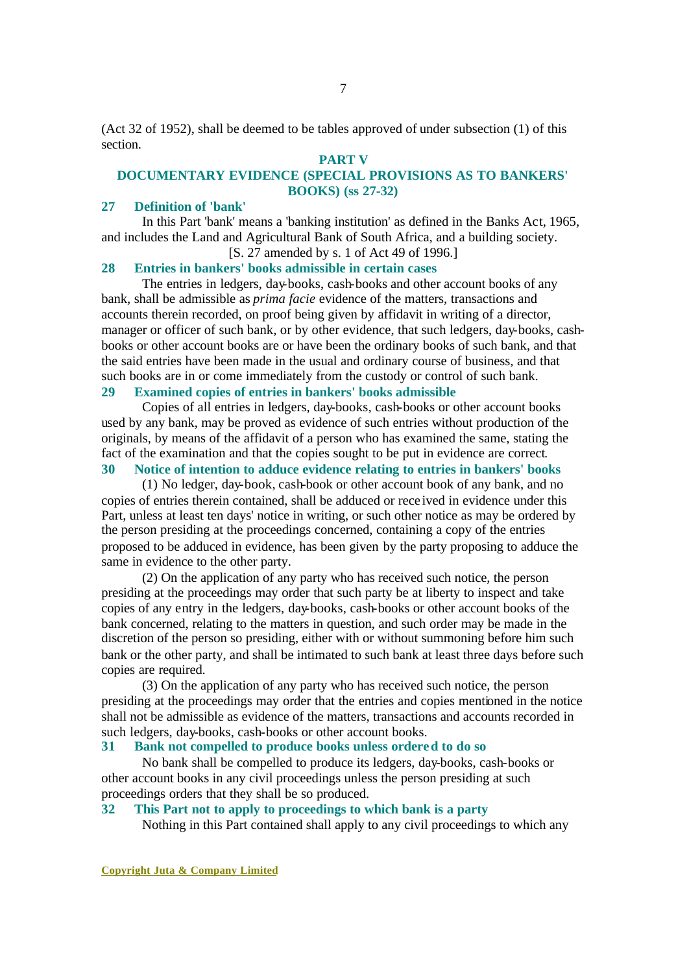(Act 32 of 1952), shall be deemed to be tables approved of under subsection (1) of this section.

# **PART V**

# **DOCUMENTARY EVIDENCE (SPECIAL PROVISIONS AS TO BANKERS' BOOKS) (ss 27-32)**

#### **27 Definition of 'bank'**

In this Part 'bank' means a 'banking institution' as defined in the Banks Act, 1965, and includes the Land and Agricultural Bank of South Africa, and a building society. [S. 27 amended by s. 1 of Act 49 of 1996.]

#### **28 Entries in bankers' books admissible in certain cases**

The entries in ledgers, day-books, cash-books and other account books of any bank, shall be admissible as *prima facie* evidence of the matters, transactions and accounts therein recorded, on proof being given by affidavit in writing of a director, manager or officer of such bank, or by other evidence, that such ledgers, day-books, cashbooks or other account books are or have been the ordinary books of such bank, and that the said entries have been made in the usual and ordinary course of business, and that such books are in or come immediately from the custody or control of such bank.

### **29 Examined copies of entries in bankers' books admissible**

Copies of all entries in ledgers, day-books, cash-books or other account books used by any bank, may be proved as evidence of such entries without production of the originals, by means of the affidavit of a person who has examined the same, stating the fact of the examination and that the copies sought to be put in evidence are correct.

# **30 Notice of intention to adduce evidence relating to entries in bankers' books**

(1) No ledger, day-book, cash-book or other account book of any bank, and no copies of entries therein contained, shall be adduced or rece ived in evidence under this Part, unless at least ten days' notice in writing, or such other notice as may be ordered by the person presiding at the proceedings concerned, containing a copy of the entries proposed to be adduced in evidence, has been given by the party proposing to adduce the same in evidence to the other party.

(2) On the application of any party who has received such notice, the person presiding at the proceedings may order that such party be at liberty to inspect and take copies of any entry in the ledgers, day-books, cash-books or other account books of the bank concerned, relating to the matters in question, and such order may be made in the discretion of the person so presiding, either with or without summoning before him such bank or the other party, and shall be intimated to such bank at least three days before such copies are required.

(3) On the application of any party who has received such notice, the person presiding at the proceedings may order that the entries and copies mentioned in the notice shall not be admissible as evidence of the matters, transactions and accounts recorded in such ledgers, day-books, cash-books or other account books.

### **31 Bank not compelled to produce books unless ordered to do so**

No bank shall be compelled to produce its ledgers, day-books, cash-books or other account books in any civil proceedings unless the person presiding at such proceedings orders that they shall be so produced.

#### **32 This Part not to apply to proceedings to which bank is a party**

Nothing in this Part contained shall apply to any civil proceedings to which any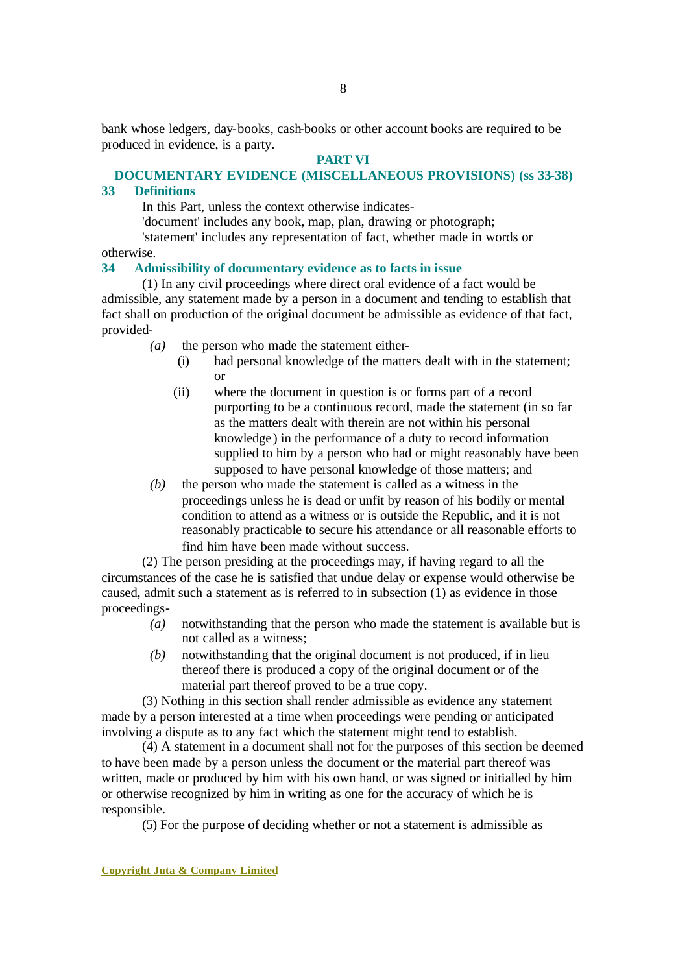bank whose ledgers, day-books, cash-books or other account books are required to be produced in evidence, is a party.

#### **PART VI**

#### **DOCUMENTARY EVIDENCE (MISCELLANEOUS PROVISIONS) (ss 33-38)**

#### **33 Definitions**

In this Part, unless the context otherwise indicates-

'document' includes any book, map, plan, drawing or photograph;

'statement' includes any representation of fact, whether made in words or otherwise.

#### **34 Admissibility of documentary evidence as to facts in issue**

(1) In any civil proceedings where direct oral evidence of a fact would be admissible, any statement made by a person in a document and tending to establish that fact shall on production of the original document be admissible as evidence of that fact, provided-

- *(a)* the person who made the statement either-
	- (i) had personal knowledge of the matters dealt with in the statement; or
	- (ii) where the document in question is or forms part of a record purporting to be a continuous record, made the statement (in so far as the matters dealt with therein are not within his personal knowledge ) in the performance of a duty to record information supplied to him by a person who had or might reasonably have been supposed to have personal knowledge of those matters; and
- *(b)* the person who made the statement is called as a witness in the proceedings unless he is dead or unfit by reason of his bodily or mental condition to attend as a witness or is outside the Republic, and it is not reasonably practicable to secure his attendance or all reasonable efforts to find him have been made without success.

(2) The person presiding at the proceedings may, if having regard to all the circumstances of the case he is satisfied that undue delay or expense would otherwise be caused, admit such a statement as is referred to in subsection (1) as evidence in those proceedings-

- *(a)* notwithstanding that the person who made the statement is available but is not called as a witness;
- *(b)* notwithstanding that the original document is not produced, if in lieu thereof there is produced a copy of the original document or of the material part thereof proved to be a true copy.

(3) Nothing in this section shall render admissible as evidence any statement made by a person interested at a time when proceedings were pending or anticipated involving a dispute as to any fact which the statement might tend to establish.

(4) A statement in a document shall not for the purposes of this section be deemed to have been made by a person unless the document or the material part thereof was written, made or produced by him with his own hand, or was signed or initialled by him or otherwise recognized by him in writing as one for the accuracy of which he is responsible.

(5) For the purpose of deciding whether or not a statement is admissible as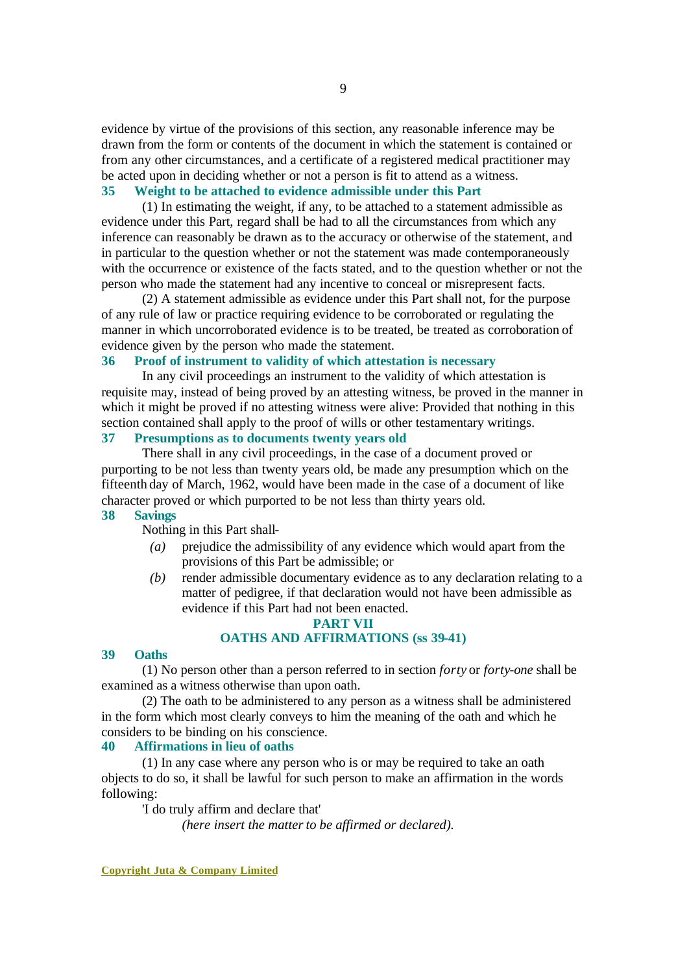evidence by virtue of the provisions of this section, any reasonable inference may be drawn from the form or contents of the document in which the statement is contained or from any other circumstances, and a certificate of a registered medical practitioner may be acted upon in deciding whether or not a person is fit to attend as a witness.

### **35 Weight to be attached to evidence admissible under this Part**

(1) In estimating the weight, if any, to be attached to a statement admissible as evidence under this Part, regard shall be had to all the circumstances from which any inference can reasonably be drawn as to the accuracy or otherwise of the statement, and in particular to the question whether or not the statement was made contemporaneously with the occurrence or existence of the facts stated, and to the question whether or not the person who made the statement had any incentive to conceal or misrepresent facts.

(2) A statement admissible as evidence under this Part shall not, for the purpose of any rule of law or practice requiring evidence to be corroborated or regulating the manner in which uncorroborated evidence is to be treated, be treated as corroboration of evidence given by the person who made the statement.

# **36 Proof of instrument to validity of which attestation is necessary**

In any civil proceedings an instrument to the validity of which attestation is requisite may, instead of being proved by an attesting witness, be proved in the manner in which it might be proved if no attesting witness were alive: Provided that nothing in this section contained shall apply to the proof of wills or other testamentary writings.

# **37 Presumptions as to documents twenty years old**

There shall in any civil proceedings, in the case of a document proved or purporting to be not less than twenty years old, be made any presumption which on the fifteenth day of March, 1962, would have been made in the case of a document of like character proved or which purported to be not less than thirty years old.

#### **38 Savings**

Nothing in this Part shall-

- *(a)* prejudice the admissibility of any evidence which would apart from the provisions of this Part be admissible; or
- *(b)* render admissible documentary evidence as to any declaration relating to a matter of pedigree, if that declaration would not have been admissible as evidence if this Part had not been enacted.

#### **PART VII**

# **OATHS AND AFFIRMATIONS (ss 39-41)**

#### **39 Oaths**

(1) No person other than a person referred to in section *forty* or *forty-one* shall be examined as a witness otherwise than upon oath.

(2) The oath to be administered to any person as a witness shall be administered in the form which most clearly conveys to him the meaning of the oath and which he considers to be binding on his conscience.

#### **40 Affirmations in lieu of oaths**

(1) In any case where any person who is or may be required to take an oath objects to do so, it shall be lawful for such person to make an affirmation in the words following:

'I do truly affirm and declare that'

*(here insert the matter to be affirmed or declared).*

**Copyright Juta & Company Limited**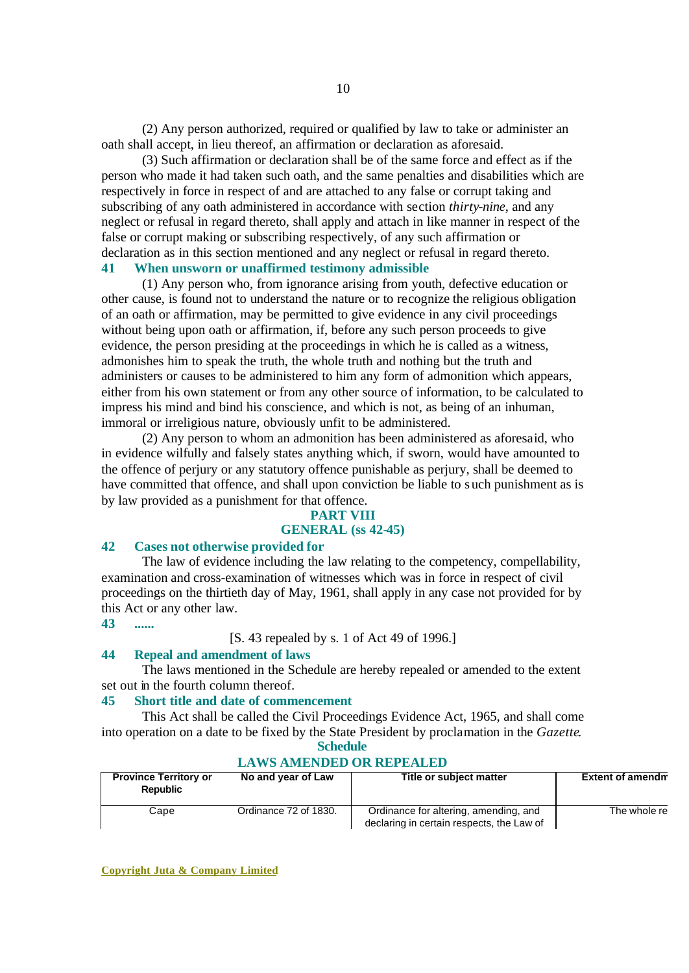(2) Any person authorized, required or qualified by law to take or administer an oath shall accept, in lieu thereof, an affirmation or declaration as aforesaid.

(3) Such affirmation or declaration shall be of the same force and effect as if the person who made it had taken such oath, and the same penalties and disabilities which are respectively in force in respect of and are attached to any false or corrupt taking and subscribing of any oath administered in accordance with section *thirty-nine*, and any neglect or refusal in regard thereto, shall apply and attach in like manner in respect of the false or corrupt making or subscribing respectively, of any such affirmation or declaration as in this section mentioned and any neglect or refusal in regard thereto.

# **41 When unsworn or unaffirmed testimony admissible**

(1) Any person who, from ignorance arising from youth, defective education or other cause, is found not to understand the nature or to recognize the religious obligation of an oath or affirmation, may be permitted to give evidence in any civil proceedings without being upon oath or affirmation, if, before any such person proceeds to give evidence, the person presiding at the proceedings in which he is called as a witness, admonishes him to speak the truth, the whole truth and nothing but the truth and administers or causes to be administered to him any form of admonition which appears, either from his own statement or from any other source of information, to be calculated to impress his mind and bind his conscience, and which is not, as being of an inhuman, immoral or irreligious nature, obviously unfit to be administered.

(2) Any person to whom an admonition has been administered as aforesaid, who in evidence wilfully and falsely states anything which, if sworn, would have amounted to the offence of perjury or any statutory offence punishable as perjury, shall be deemed to have committed that offence, and shall upon conviction be liable to such punishment as is by law provided as a punishment for that offence.

#### **PART VIII**

# **GENERAL (ss 42-45)**

# **42 Cases not otherwise provided for**

The law of evidence including the law relating to the competency, compellability, examination and cross-examination of witnesses which was in force in respect of civil proceedings on the thirtieth day of May, 1961, shall apply in any case not provided for by this Act or any other law.

**43 ......**

#### [S. 43 repealed by s. 1 of Act 49 of 1996.]

#### **44 Repeal and amendment of laws**

The laws mentioned in the Schedule are hereby repealed or amended to the extent set out in the fourth column thereof.

#### **45 Short title and date of commencement**

This Act shall be called the Civil Proceedings Evidence Act, 1965, and shall come into operation on a date to be fixed by the State President by proclamation in the *Gazette*.

#### **Schedule LAWS AMENDED OR REPEALED**

| <b>Province Territory or</b><br><b>Republic</b> | No and year of Law    | Title or subject matter                                                            | <b>Extent of amendm</b> |  |
|-------------------------------------------------|-----------------------|------------------------------------------------------------------------------------|-------------------------|--|
| Cape                                            | Ordinance 72 of 1830. | Ordinance for altering, amending, and<br>declaring in certain respects, the Law of | The whole re            |  |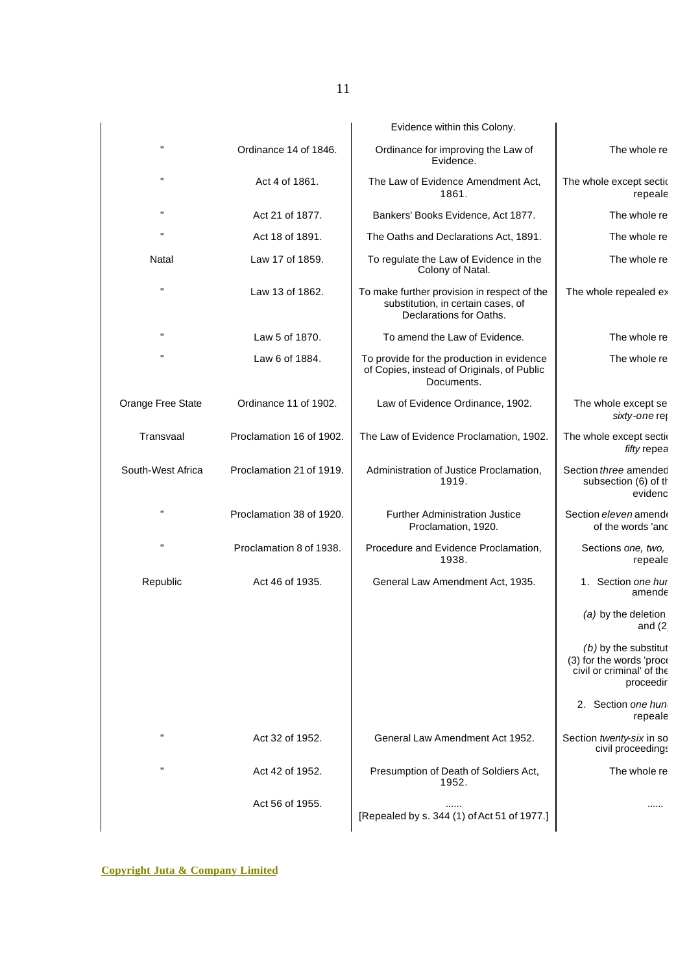|                                                                                              | Evidence within this Colony.                                                                                 |                          |                   |
|----------------------------------------------------------------------------------------------|--------------------------------------------------------------------------------------------------------------|--------------------------|-------------------|
| The whole re                                                                                 | Ordinance for improving the Law of<br>Evidence.                                                              | Ordinance 14 of 1846.    | н                 |
| The whole except sectic<br>repeale                                                           | The Law of Evidence Amendment Act,<br>1861.                                                                  | Act 4 of 1861.           |                   |
| The whole re                                                                                 | Bankers' Books Evidence, Act 1877.                                                                           | Act 21 of 1877.          | н                 |
| The whole re                                                                                 | The Oaths and Declarations Act, 1891.                                                                        | Act 18 of 1891.          | н                 |
| The whole re                                                                                 | To regulate the Law of Evidence in the<br>Colony of Natal.                                                   | Law 17 of 1859.          | Natal             |
| The whole repealed ex                                                                        | To make further provision in respect of the<br>substitution, in certain cases, of<br>Declarations for Oaths. | Law 13 of 1862.          | н                 |
| The whole re                                                                                 | To amend the Law of Evidence.                                                                                | Law 5 of 1870.           | н                 |
| The whole re                                                                                 | To provide for the production in evidence<br>of Copies, instead of Originals, of Public<br>Documents.        | Law 6 of 1884.           | Ħ                 |
| The whole except se<br>sixty-one ret                                                         | Law of Evidence Ordinance, 1902.                                                                             | Ordinance 11 of 1902.    | Orange Free State |
| The whole except sectio<br>fifty repea                                                       | The Law of Evidence Proclamation, 1902.                                                                      | Proclamation 16 of 1902. | Transvaal         |
| Section three amended<br>subsection (6) of th<br>evidenc                                     | Administration of Justice Proclamation,<br>1919.                                                             | Proclamation 21 of 1919. | South-West Africa |
| Section eleven amende<br>of the words 'and                                                   | <b>Further Administration Justice</b><br>Proclamation, 1920.                                                 | Proclamation 38 of 1920. | н                 |
| Sections one, two,<br>repeale                                                                | Procedure and Evidence Proclamation,<br>1938.                                                                | Proclamation 8 of 1938.  | н                 |
| 1. Section one hur<br>amende                                                                 | General Law Amendment Act, 1935.                                                                             | Act 46 of 1935.          | Republic          |
| (a) by the deletion<br>and $(2)$                                                             |                                                                                                              |                          |                   |
| $(b)$ by the substitut<br>(3) for the words 'proce<br>civil or criminal' of the<br>proceedir |                                                                                                              |                          |                   |
| 2. Section one hun<br>repeale                                                                |                                                                                                              |                          |                   |
| Section twenty-six in so<br>civil proceedings                                                | General Law Amendment Act 1952.                                                                              | Act 32 of 1952.          | $\mathbf{H}$      |
| The whole re                                                                                 | Presumption of Death of Soldiers Act,<br>1952.                                                               | Act 42 of 1952.          | п                 |
|                                                                                              | [Repealed by s. 344 (1) of Act 51 of 1977.]                                                                  | Act 56 of 1955.          |                   |
|                                                                                              |                                                                                                              |                          |                   |

11